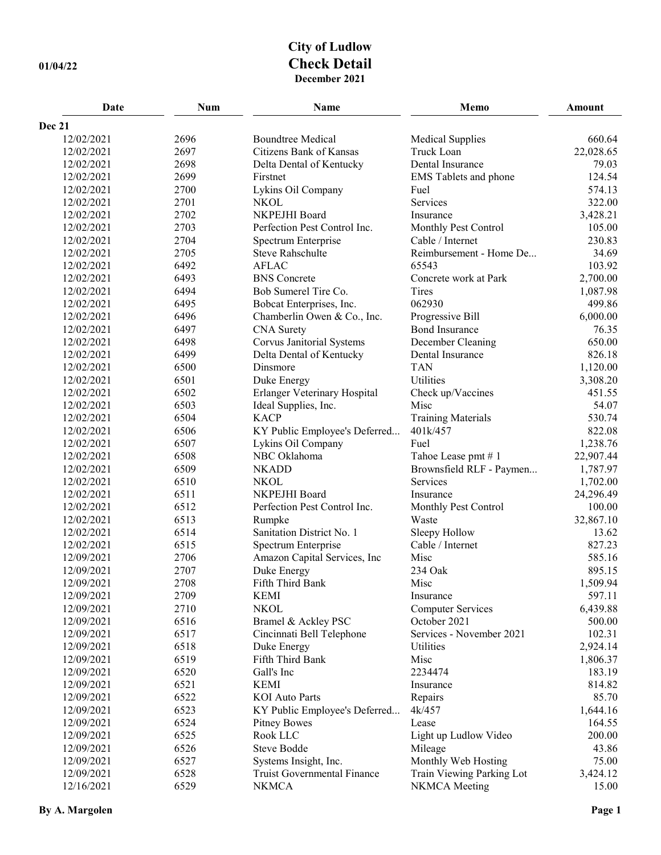## **City of Ludlow 01/04/22 Check Detail December 2021**

| Date       | <b>Num</b> | Name                          | Memo                         | <b>Amount</b> |
|------------|------------|-------------------------------|------------------------------|---------------|
| Dec 21     |            |                               |                              |               |
| 12/02/2021 | 2696       | <b>Boundtree Medical</b>      | <b>Medical Supplies</b>      | 660.64        |
| 12/02/2021 | 2697       | Citizens Bank of Kansas       | Truck Loan                   | 22,028.65     |
| 12/02/2021 | 2698       | Delta Dental of Kentucky      | Dental Insurance             | 79.03         |
| 12/02/2021 | 2699       | Firstnet                      | <b>EMS</b> Tablets and phone | 124.54        |
| 12/02/2021 | 2700       | Lykins Oil Company            | Fuel                         | 574.13        |
| 12/02/2021 | 2701       | <b>NKOL</b>                   | Services                     | 322.00        |
| 12/02/2021 | 2702       | NKPEJHI Board                 | Insurance                    | 3,428.21      |
| 12/02/2021 | 2703       | Perfection Pest Control Inc.  | Monthly Pest Control         | 105.00        |
| 12/02/2021 | 2704       | Spectrum Enterprise           | Cable / Internet             | 230.83        |
| 12/02/2021 | 2705       | <b>Steve Rahschulte</b>       | Reimbursement - Home De      | 34.69         |
| 12/02/2021 | 6492       | <b>AFLAC</b>                  | 65543                        | 103.92        |
| 12/02/2021 | 6493       | <b>BNS</b> Concrete           | Concrete work at Park        | 2,700.00      |
| 12/02/2021 | 6494       | Bob Sumerel Tire Co.          | Tires                        | 1,087.98      |
| 12/02/2021 | 6495       | Bobcat Enterprises, Inc.      | 062930                       | 499.86        |
| 12/02/2021 | 6496       | Chamberlin Owen & Co., Inc.   | Progressive Bill             | 6,000.00      |
| 12/02/2021 | 6497       | <b>CNA</b> Surety             | <b>Bond Insurance</b>        | 76.35         |
| 12/02/2021 | 6498       | Corvus Janitorial Systems     | December Cleaning            | 650.00        |
| 12/02/2021 | 6499       | Delta Dental of Kentucky      | Dental Insurance             | 826.18        |
| 12/02/2021 | 6500       | Dinsmore                      | <b>TAN</b>                   | 1,120.00      |
| 12/02/2021 | 6501       | Duke Energy                   | Utilities                    | 3,308.20      |
| 12/02/2021 | 6502       | Erlanger Veterinary Hospital  | Check up/Vaccines            | 451.55        |
| 12/02/2021 | 6503       | Ideal Supplies, Inc.          | Misc                         | 54.07         |
| 12/02/2021 | 6504       | <b>KACP</b>                   | <b>Training Materials</b>    | 530.74        |
| 12/02/2021 | 6506       | KY Public Employee's Deferred | 401k/457                     | 822.08        |
| 12/02/2021 | 6507       | Lykins Oil Company            | Fuel                         | 1,238.76      |
| 12/02/2021 | 6508       | NBC Oklahoma                  | Tahoe Lease pmt #1           | 22,907.44     |
| 12/02/2021 | 6509       | <b>NKADD</b>                  | Brownsfield RLF - Paymen     | 1,787.97      |
| 12/02/2021 | 6510       | <b>NKOL</b>                   | Services                     | 1,702.00      |
| 12/02/2021 | 6511       | NKPEJHI Board                 | Insurance                    | 24,296.49     |
| 12/02/2021 | 6512       | Perfection Pest Control Inc.  | Monthly Pest Control         | 100.00        |
| 12/02/2021 | 6513       | Rumpke                        | Waste                        | 32,867.10     |
| 12/02/2021 | 6514       | Sanitation District No. 1     | Sleepy Hollow                | 13.62         |
| 12/02/2021 | 6515       | Spectrum Enterprise           | Cable / Internet             | 827.23        |
| 12/09/2021 | 2706       | Amazon Capital Services, Inc  | Misc                         | 585.16        |
| 12/09/2021 | 2707       | Duke Energy                   | 234 Oak                      | 895.15        |
| 12/09/2021 | 2708       | Fifth Third Bank              | Misc                         | 1,509.94      |
| 12/09/2021 | 2709       | <b>KEMI</b>                   | Insurance                    | 597.11        |
| 12/09/2021 | 2710       | <b>NKOL</b>                   | <b>Computer Services</b>     | 6,439.88      |
| 12/09/2021 | 6516       | Bramel & Ackley PSC           | October 2021                 | 500.00        |
| 12/09/2021 | 6517       | Cincinnati Bell Telephone     | Services - November 2021     | 102.31        |
| 12/09/2021 | 6518       | Duke Energy                   | Utilities                    | 2,924.14      |
| 12/09/2021 | 6519       | Fifth Third Bank              | Misc                         | 1,806.37      |
| 12/09/2021 | 6520       | Gall's Inc                    | 2234474                      | 183.19        |
| 12/09/2021 | 6521       | <b>KEMI</b>                   | Insurance                    | 814.82        |
| 12/09/2021 | 6522       | <b>KOI</b> Auto Parts         | Repairs                      | 85.70         |
| 12/09/2021 | 6523       | KY Public Employee's Deferred | 4k/457                       | 1,644.16      |
| 12/09/2021 | 6524       | <b>Pitney Bowes</b>           | Lease                        | 164.55        |
| 12/09/2021 | 6525       | Rook LLC                      | Light up Ludlow Video        | 200.00        |
| 12/09/2021 | 6526       | Steve Bodde                   | Mileage                      | 43.86         |
| 12/09/2021 | 6527       | Systems Insight, Inc.         | Monthly Web Hosting          | 75.00         |
| 12/09/2021 | 6528       | Truist Governmental Finance   | Train Viewing Parking Lot    | 3,424.12      |
| 12/16/2021 | 6529       | <b>NKMCA</b>                  | NKMCA Meeting                | 15.00         |
|            |            |                               |                              |               |